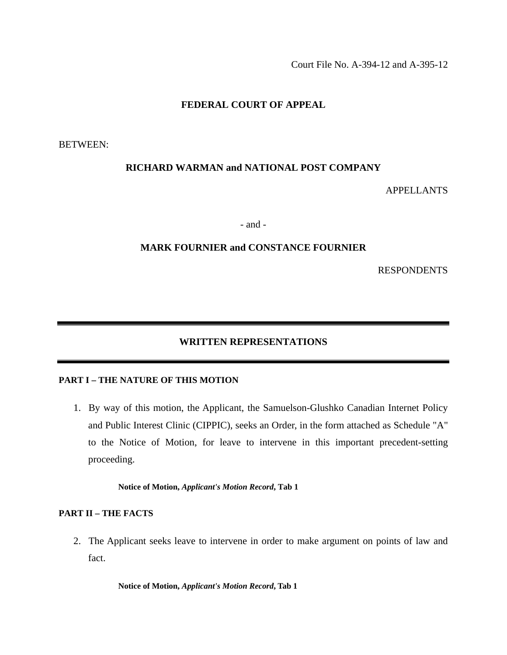Court File No. A-394-12 and A-395-12

# **FEDERAL COURT OF APPEAL**

BETWEEN:

## **RICHARD WARMAN and NATIONAL POST COMPANY**

APPELLANTS

- and -

## **MARK FOURNIER and CONSTANCE FOURNIER**

RESPONDENTS

# **WRITTEN REPRESENTATIONS**

## **PART I – THE NATURE OF THIS MOTION**

1. By way of this motion, the Applicant, the Samuelson-Glushko Canadian Internet Policy and Public Interest Clinic (CIPPIC), seeks an Order, in the form attached as Schedule "A" to the Notice of Motion, for leave to intervene in this important precedent-setting proceeding.

**Notice of Motion,** *Applicant's Motion Record***, Tab 1** 

### **PART II – THE FACTS**

2. The Applicant seeks leave to intervene in order to make argument on points of law and fact.

**Notice of Motion,** *Applicant's Motion Record***, Tab 1**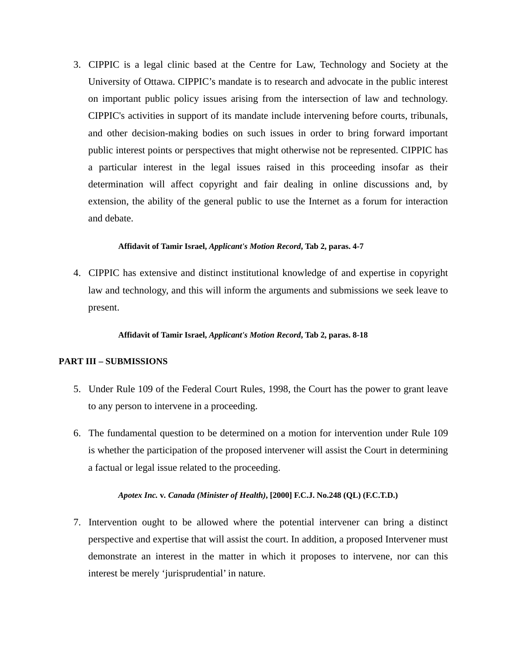3. CIPPIC is a legal clinic based at the Centre for Law, Technology and Society at the University of Ottawa. CIPPIC's mandate is to research and advocate in the public interest on important public policy issues arising from the intersection of law and technology. CIPPIC's activities in support of its mandate include intervening before courts, tribunals, and other decision-making bodies on such issues in order to bring forward important public interest points or perspectives that might otherwise not be represented. CIPPIC has a particular interest in the legal issues raised in this proceeding insofar as their determination will affect copyright and fair dealing in online discussions and, by extension, the ability of the general public to use the Internet as a forum for interaction and debate.

### **Affidavit of Tamir Israel,** *Applicant's Motion Record***, Tab 2, paras. 4-7**

4. CIPPIC has extensive and distinct institutional knowledge of and expertise in copyright law and technology, and this will inform the arguments and submissions we seek leave to present.

### **Affidavit of Tamir Israel,** *Applicant's Motion Record***, Tab 2, paras. 8-18**

# **PART III – SUBMISSIONS**

- 5. Under Rule 109 of the Federal Court Rules, 1998, the Court has the power to grant leave to any person to intervene in a proceeding.
- 6. The fundamental question to be determined on a motion for intervention under Rule 109 is whether the participation of the proposed intervener will assist the Court in determining a factual or legal issue related to the proceeding.

# *Apotex Inc.* **v***. Canada (Minister of Health)***, [2000] F.C.J. No.248 (QL) (F.C.T.D.)**

7. Intervention ought to be allowed where the potential intervener can bring a distinct perspective and expertise that will assist the court. In addition, a proposed Intervener must demonstrate an interest in the matter in which it proposes to intervene, nor can this interest be merely 'jurisprudential' in nature.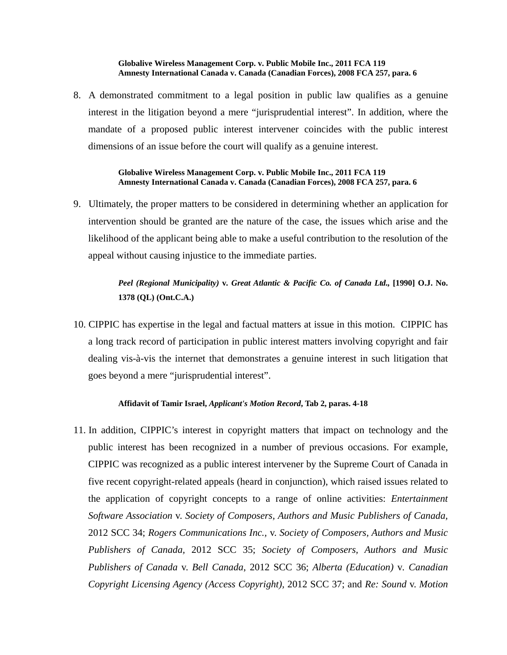#### **Globalive Wireless Management Corp. v. Public Mobile Inc., 2011 FCA 119 Amnesty International Canada v. Canada (Canadian Forces), 2008 FCA 257, para. 6**

8. A demonstrated commitment to a legal position in public law qualifies as a genuine interest in the litigation beyond a mere "jurisprudential interest". In addition, where the mandate of a proposed public interest intervener coincides with the public interest dimensions of an issue before the court will qualify as a genuine interest.

#### **Globalive Wireless Management Corp. v. Public Mobile Inc., 2011 FCA 119 Amnesty International Canada v. Canada (Canadian Forces), 2008 FCA 257, para. 6**

9. Ultimately, the proper matters to be considered in determining whether an application for intervention should be granted are the nature of the case, the issues which arise and the likelihood of the applicant being able to make a useful contribution to the resolution of the appeal without causing injustice to the immediate parties.

> *Peel (Regional Municipality)* **v***. Great Atlantic & Pacific Co. of Canada Ltd.,* **[1990] O.J. No. 1378 (QL) (Ont.C.A.)**

10. CIPPIC has expertise in the legal and factual matters at issue in this motion. CIPPIC has a long track record of participation in public interest matters involving copyright and fair dealing vis-à-vis the internet that demonstrates a genuine interest in such litigation that goes beyond a mere "jurisprudential interest".

#### **Affidavit of Tamir Israel,** *Applicant's Motion Record***, Tab 2, paras. 4-18**

11. In addition, CIPPIC's interest in copyright matters that impact on technology and the public interest has been recognized in a number of previous occasions. For example, CIPPIC was recognized as a public interest intervener by the Supreme Court of Canada in five recent copyright-related appeals (heard in conjunction), which raised issues related to the application of copyright concepts to a range of online activities: *Entertainment Software Association* v. *Society of Composers, Authors and Music Publishers of Canada,*  2012 SCC 34; *Rogers Communications Inc.,* v. *Society of Composers, Authors and Music Publishers of Canada,* 2012 SCC 35; *Society of Composers, Authors and Music Publishers of Canada* v. *Bell Canada*, 2012 SCC 36; *Alberta (Education)* v*. Canadian Copyright Licensing Agency (Access Copyright),* 2012 SCC 37; and *Re: Sound* v. *Motion*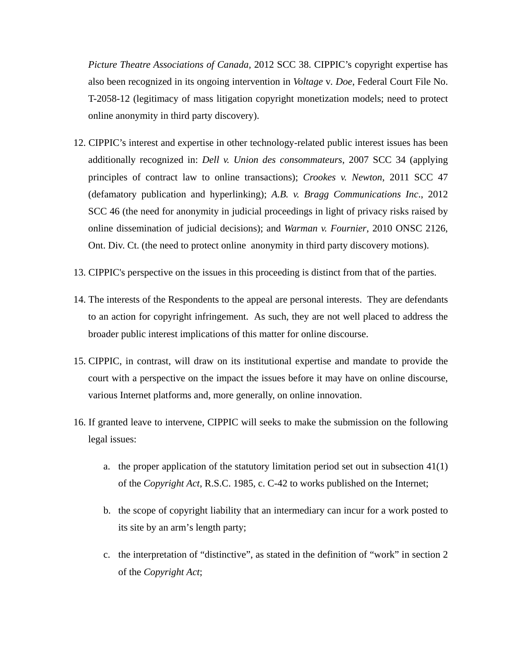*Picture Theatre Associations of Canada,* 2012 SCC 38. CIPPIC's copyright expertise has also been recognized in its ongoing intervention in *Voltage* v*. Doe*, Federal Court File No. T-2058-12 (legitimacy of mass litigation copyright monetization models; need to protect online anonymity in third party discovery).

- 12. CIPPIC's interest and expertise in other technology-related public interest issues has been additionally recognized in: *Dell v. Union des consommateurs*, 2007 SCC 34 (applying principles of contract law to online transactions); *Crookes v. Newton*, 2011 SCC 47 (defamatory publication and hyperlinking); *A.B. v. Bragg Communications Inc*., 2012 SCC 46 (the need for anonymity in judicial proceedings in light of privacy risks raised by online dissemination of judicial decisions); and *Warman v. Fournier*, 2010 ONSC 2126, Ont. Div. Ct. (the need to protect online anonymity in third party discovery motions).
- 13. CIPPIC's perspective on the issues in this proceeding is distinct from that of the parties.
- 14. The interests of the Respondents to the appeal are personal interests. They are defendants to an action for copyright infringement. As such, they are not well placed to address the broader public interest implications of this matter for online discourse.
- 15. CIPPIC, in contrast, will draw on its institutional expertise and mandate to provide the court with a perspective on the impact the issues before it may have on online discourse, various Internet platforms and, more generally, on online innovation.
- 16. If granted leave to intervene, CIPPIC will seeks to make the submission on the following legal issues:
	- a. the proper application of the statutory limitation period set out in subsection 41(1) of the *Copyright Act*, R.S.C. 1985, c. C-42 to works published on the Internet;
	- b. the scope of copyright liability that an intermediary can incur for a work posted to its site by an arm's length party;
	- c. the interpretation of "distinctive", as stated in the definition of "work" in section 2 of the *Copyright Act*;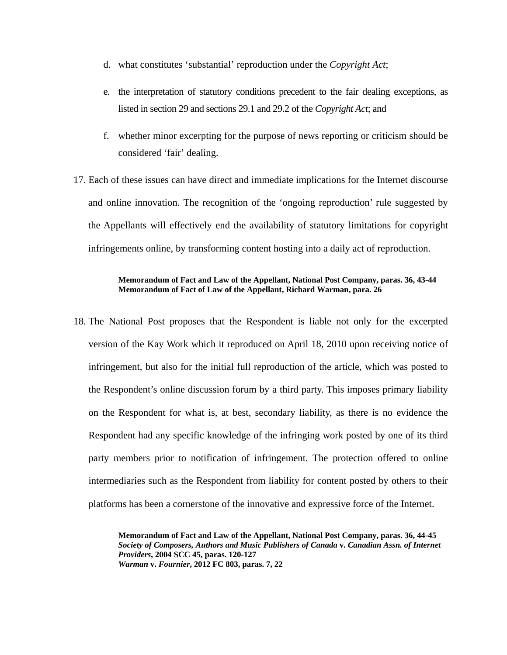- d. what constitutes 'substantial' reproduction under the *Copyright Act*;
- e. the interpretation of statutory conditions precedent to the fair dealing exceptions, as listed in section 29 and sections 29.1 and 29.2 of the *Copyright Act*; and
- f. whether minor excerpting for the purpose of news reporting or criticism should be considered 'fair' dealing.

17. Each of these issues can have direct and immediate implications for the Internet discourse and online innovation. The recognition of the 'ongoing reproduction' rule suggested by the Appellants will effectively end the availability of statutory limitations for copyright infringements online, by transforming content hosting into a daily act of reproduction.

## **Memorandum of Fact and Law of the Appellant, National Post Company, paras. 36, 43-44 Memorandum of Fact of Law of the Appellant, Richard Warman, para. 26**

18. The National Post proposes that the Respondent is liable not only for the excerpted version of the Kay Work which it reproduced on April 18, 2010 upon receiving notice of infringement, but also for the initial full reproduction of the article, which was posted to the Respondent's online discussion forum by a third party. This imposes primary liability on the Respondent for what is, at best, secondary liability, as there is no evidence the Respondent had any specific knowledge of the infringing work posted by one of its third party members prior to notification of infringement. The protection offered to online intermediaries such as the Respondent from liability for content posted by others to their platforms has been a cornerstone of the innovative and expressive force of the Internet.

> **Memorandum of Fact and Law of the Appellant, National Post Company, paras. 36, 44-45**  *Society of Composers, Authors and Music Publishers of Canada* **v.** *Canadian Assn. of Internet Providers***, 2004 SCC 45, paras. 120-127**  *Warman* **v.** *Fournier***, 2012 FC 803, paras. 7, 22**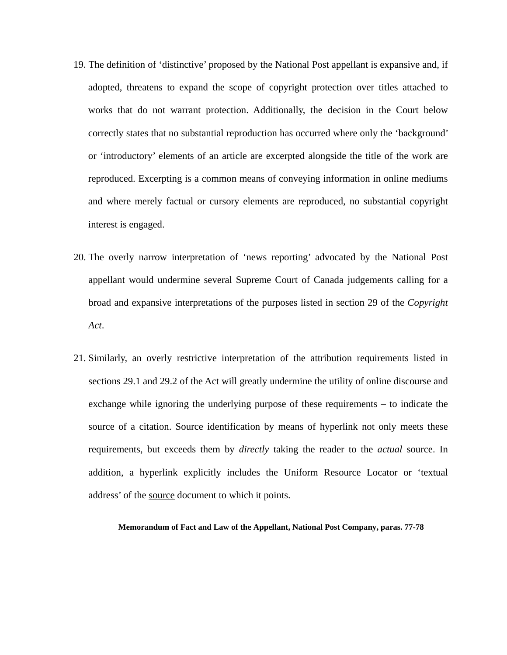- 19. The definition of 'distinctive' proposed by the National Post appellant is expansive and, if adopted, threatens to expand the scope of copyright protection over titles attached to works that do not warrant protection. Additionally, the decision in the Court below correctly states that no substantial reproduction has occurred where only the 'background' or 'introductory' elements of an article are excerpted alongside the title of the work are reproduced. Excerpting is a common means of conveying information in online mediums and where merely factual or cursory elements are reproduced, no substantial copyright interest is engaged.
- 20. The overly narrow interpretation of 'news reporting' advocated by the National Post appellant would undermine several Supreme Court of Canada judgements calling for a broad and expansive interpretations of the purposes listed in section 29 of the *Copyright Act*.
- 21. Similarly, an overly restrictive interpretation of the attribution requirements listed in sections 29.1 and 29.2 of the Act will greatly undermine the utility of online discourse and exchange while ignoring the underlying purpose of these requirements – to indicate the source of a citation. Source identification by means of hyperlink not only meets these requirements, but exceeds them by *directly* taking the reader to the *actual* source. In addition, a hyperlink explicitly includes the Uniform Resource Locator or 'textual address' of the source document to which it points.

**Memorandum of Fact and Law of the Appellant, National Post Company, paras. 77-78**